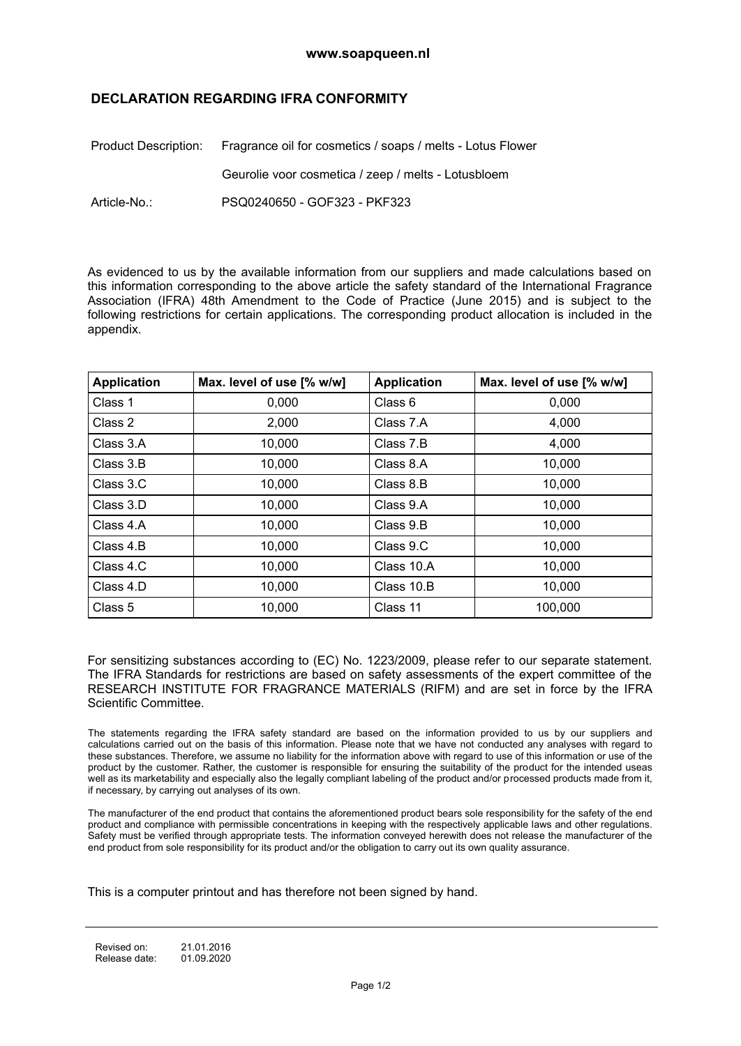## **DECLARATION REGARDING IFRA CONFORMITY**

|              | Product Description: Fragrance oil for cosmetics / soaps / melts - Lotus Flower |  |
|--------------|---------------------------------------------------------------------------------|--|
|              | Geurolie voor cosmetica / zeep / melts - Lotusbloem                             |  |
| Article-No.: | PSQ0240650 - GOF323 - PKF323                                                    |  |

As evidenced to us by the available information from our suppliers and made calculations based on this information corresponding to the above article the safety standard of the International Fragrance Association (IFRA) 48th Amendment to the Code of Practice (June 2015) and is subject to the following restrictions for certain applications. The corresponding product allocation is included in the appendix.

| <b>Application</b> | Max. level of use [% w/w] | <b>Application</b> | Max. level of use [% w/w] |
|--------------------|---------------------------|--------------------|---------------------------|
| Class 1            | 0,000                     | Class 6            | 0,000                     |
| Class 2            | 2,000                     | Class 7.A          | 4,000                     |
| Class 3.A          | 10,000                    | Class 7.B          | 4,000                     |
| Class 3.B          | 10,000                    | Class 8.A          | 10,000                    |
| Class 3.C          | 10,000                    | Class 8.B          | 10,000                    |
| Class 3.D          | 10,000                    | Class 9.A          | 10,000                    |
| Class 4.A          | 10,000                    | Class 9.B          | 10,000                    |
| Class 4.B          | 10,000                    | Class 9.C          | 10,000                    |
| Class 4.C          | 10.000                    | Class 10.A         | 10.000                    |
| Class 4.D          | 10,000                    | Class 10.B         | 10,000                    |
| Class 5            | 10,000                    | Class 11           | 100,000                   |

For sensitizing substances according to (EC) No. 1223/2009, please refer to our separate statement. The IFRA Standards for restrictions are based on safety assessments of the expert committee of the RESEARCH INSTITUTE FOR FRAGRANCE MATERIALS (RIFM) and are set in force by the IFRA Scientific Committee.

The statements regarding the IFRA safety standard are based on the information provided to us by our suppliers and calculations carried out on the basis of this information. Please note that we have not conducted any analyses with regard to these substances. Therefore, we assume no liability for the information above with regard to use of this information or use of the product by the customer. Rather, the customer is responsible for ensuring the suitability of the product for the intended useas well as its marketability and especially also the legally compliant labeling of the product and/or processed products made from it, if necessary, by carrying out analyses of its own.

The manufacturer of the end product that contains the aforementioned product bears sole responsibility for the safety of the end product and compliance with permissible concentrations in keeping with the respectively applicable laws and other regulations. Safety must be verified through appropriate tests. The information conveyed herewith does not release the manufacturer of the end product from sole responsibility for its product and/or the obligation to carry out its own quality assurance.

This is a computer printout and has therefore not been signed by hand.